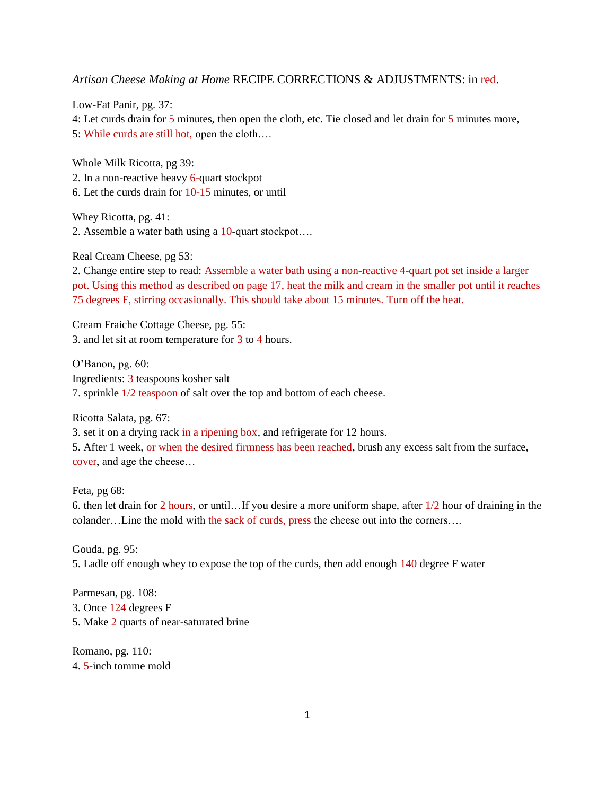*Artisan Cheese Making at Home* RECIPE CORRECTIONS & ADJUSTMENTS: in red.

Low-Fat Panir, pg. 37: 4: Let curds drain for 5 minutes, then open the cloth, etc. Tie closed and let drain for 5 minutes more, 5: While curds are still hot, open the cloth….

Whole Milk Ricotta, pg 39: 2. In a non-reactive heavy 6-quart stockpot 6. Let the curds drain for 10-15 minutes, or until

Whey Ricotta, pg. 41: 2. Assemble a water bath using a 10-quart stockpot….

Real Cream Cheese, pg 53:

2. Change entire step to read: Assemble a water bath using a non-reactive 4-quart pot set inside a larger pot. Using this method as described on page 17, heat the milk and cream in the smaller pot until it reaches 75 degrees F, stirring occasionally. This should take about 15 minutes. Turn off the heat.

Cream Fraiche Cottage Cheese, pg. 55: 3. and let sit at room temperature for 3 to 4 hours.

O'Banon, pg. 60: Ingredients: 3 teaspoons kosher salt 7. sprinkle 1/2 teaspoon of salt over the top and bottom of each cheese.

Ricotta Salata, pg. 67:

3. set it on a drying rack in a ripening box, and refrigerate for 12 hours.

5. After 1 week, or when the desired firmness has been reached, brush any excess salt from the surface, cover, and age the cheese…

Feta, pg 68:

6. then let drain for 2 hours, or until…If you desire a more uniform shape, after 1/2 hour of draining in the colander…Line the mold with the sack of curds, press the cheese out into the corners….

Gouda, pg. 95: 5. Ladle off enough whey to expose the top of the curds, then add enough 140 degree F water

Parmesan, pg. 108: 3. Once 124 degrees F 5. Make 2 quarts of near-saturated brine

Romano, pg. 110: 4. 5-inch tomme mold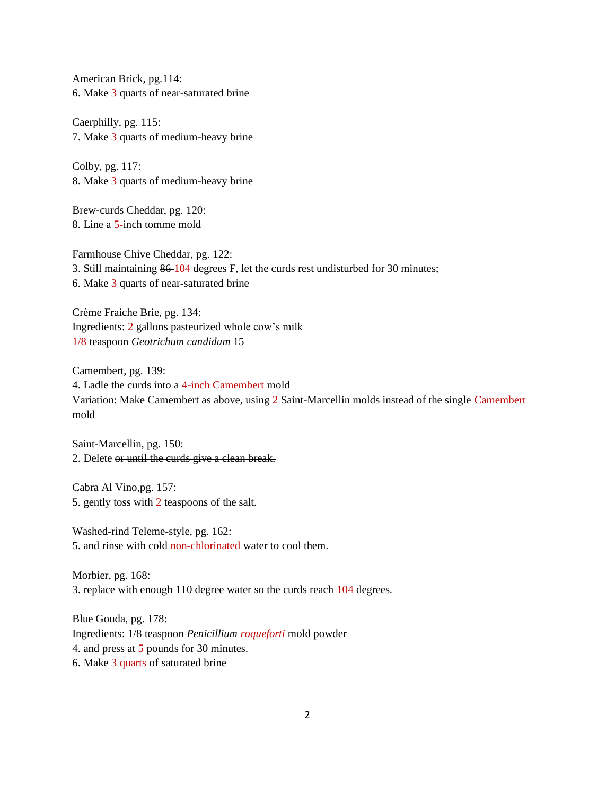American Brick, pg.114: 6. Make 3 quarts of near-saturated brine

Caerphilly, pg. 115: 7. Make 3 quarts of medium-heavy brine

Colby, pg. 117: 8. Make 3 quarts of medium-heavy brine

Brew-curds Cheddar, pg. 120: 8. Line a 5-inch tomme mold

Farmhouse Chive Cheddar, pg. 122: 3. Still maintaining 86 104 degrees F, let the curds rest undisturbed for 30 minutes; 6. Make 3 quarts of near-saturated brine

Crème Fraiche Brie, pg. 134: Ingredients: 2 gallons pasteurized whole cow's milk 1/8 teaspoon *Geotrichum candidum* 15

Camembert, pg. 139: 4. Ladle the curds into a 4-inch Camembert mold Variation: Make Camembert as above, using 2 Saint-Marcellin molds instead of the single Camembert mold

Saint-Marcellin, pg. 150: 2. Delete or until the curds give a clean break.

Cabra Al Vino,pg. 157: 5. gently toss with 2 teaspoons of the salt.

Washed-rind Teleme-style, pg. 162: 5. and rinse with cold non-chlorinated water to cool them.

Morbier, pg. 168: 3. replace with enough 110 degree water so the curds reach 104 degrees.

Blue Gouda, pg. 178: Ingredients: 1/8 teaspoon *Penicillium roqueforti* mold powder 4. and press at 5 pounds for 30 minutes. 6. Make 3 quarts of saturated brine